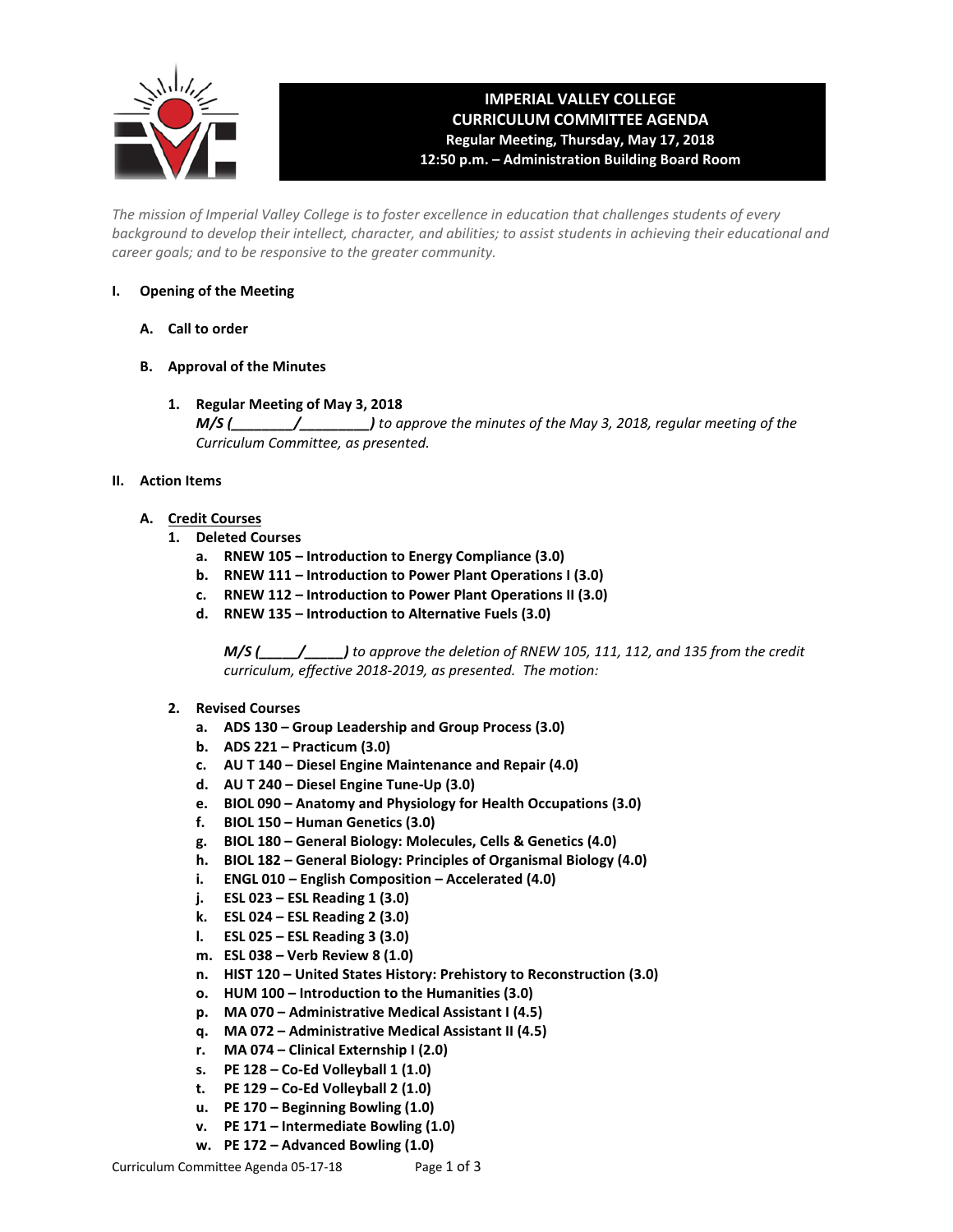

## **IMPERIAL VALLEY COLLEGE CURRICULUM COMMITTEE AGENDA Regular Meeting, Thursday, May 17, 2018 12:50 p.m. – Administration Building Board Room**

*The mission of Imperial Valley College is to foster excellence in education that challenges students of every background to develop their intellect, character, and abilities; to assist students in achieving their educational and career goals; and to be responsive to the greater community.*

## **I. Opening of the Meeting**

- **A. Call to order**
- **B. Approval of the Minutes**
	- **1. Regular Meeting of May 3, 2018** *M/S (\_\_\_\_\_\_\_\_/\_\_\_\_\_\_\_\_\_) to approve the minutes of the May 3, 2018, regular meeting of the Curriculum Committee, as presented.*

## **II. Action Items**

- **A. Credit Courses**
	- **1. Deleted Courses**
		- **a. RNEW 105 – Introduction to Energy Compliance (3.0)**
		- **b. RNEW 111 – Introduction to Power Plant Operations I (3.0)**
		- **c. RNEW 112 – Introduction to Power Plant Operations II (3.0)**
		- **d. RNEW 135 – Introduction to Alternative Fuels (3.0)**

*M/S (\_\_\_\_\_/\_\_\_\_\_) to approve the deletion of RNEW 105, 111, 112, and 135 from the credit curriculum, effective 2018-2019, as presented. The motion:* 

## **2. Revised Courses**

- **a. ADS 130 – Group Leadership and Group Process (3.0)**
- **b. ADS 221 – Practicum (3.0)**
- **c. AU T 140 – Diesel Engine Maintenance and Repair (4.0)**
- **d. AU T 240 – Diesel Engine Tune-Up (3.0)**
- **e. BIOL 090 – Anatomy and Physiology for Health Occupations (3.0)**
- **f. BIOL 150 – Human Genetics (3.0)**
- **g. BIOL 180 – General Biology: Molecules, Cells & Genetics (4.0)**
- **h. BIOL 182 – General Biology: Principles of Organismal Biology (4.0)**
- **i. ENGL 010 – English Composition – Accelerated (4.0)**
- **j. ESL 023 – ESL Reading 1 (3.0)**
- **k. ESL 024 – ESL Reading 2 (3.0)**
- **l. ESL 025 – ESL Reading 3 (3.0)**
- **m. ESL 038 – Verb Review 8 (1.0)**
- **n. HIST 120 – United States History: Prehistory to Reconstruction (3.0)**
- **o. HUM 100 – Introduction to the Humanities (3.0)**
- **p. MA 070 – Administrative Medical Assistant I (4.5)**
- **q. MA 072 – Administrative Medical Assistant II (4.5)**
- **r. MA 074 – Clinical Externship I (2.0)**
- **s. PE 128 – Co-Ed Volleyball 1 (1.0)**
- **t. PE 129 – Co-Ed Volleyball 2 (1.0)**
- **u. PE 170 – Beginning Bowling (1.0)**
- **v. PE 171 – Intermediate Bowling (1.0)**
- **w. PE 172 – Advanced Bowling (1.0)**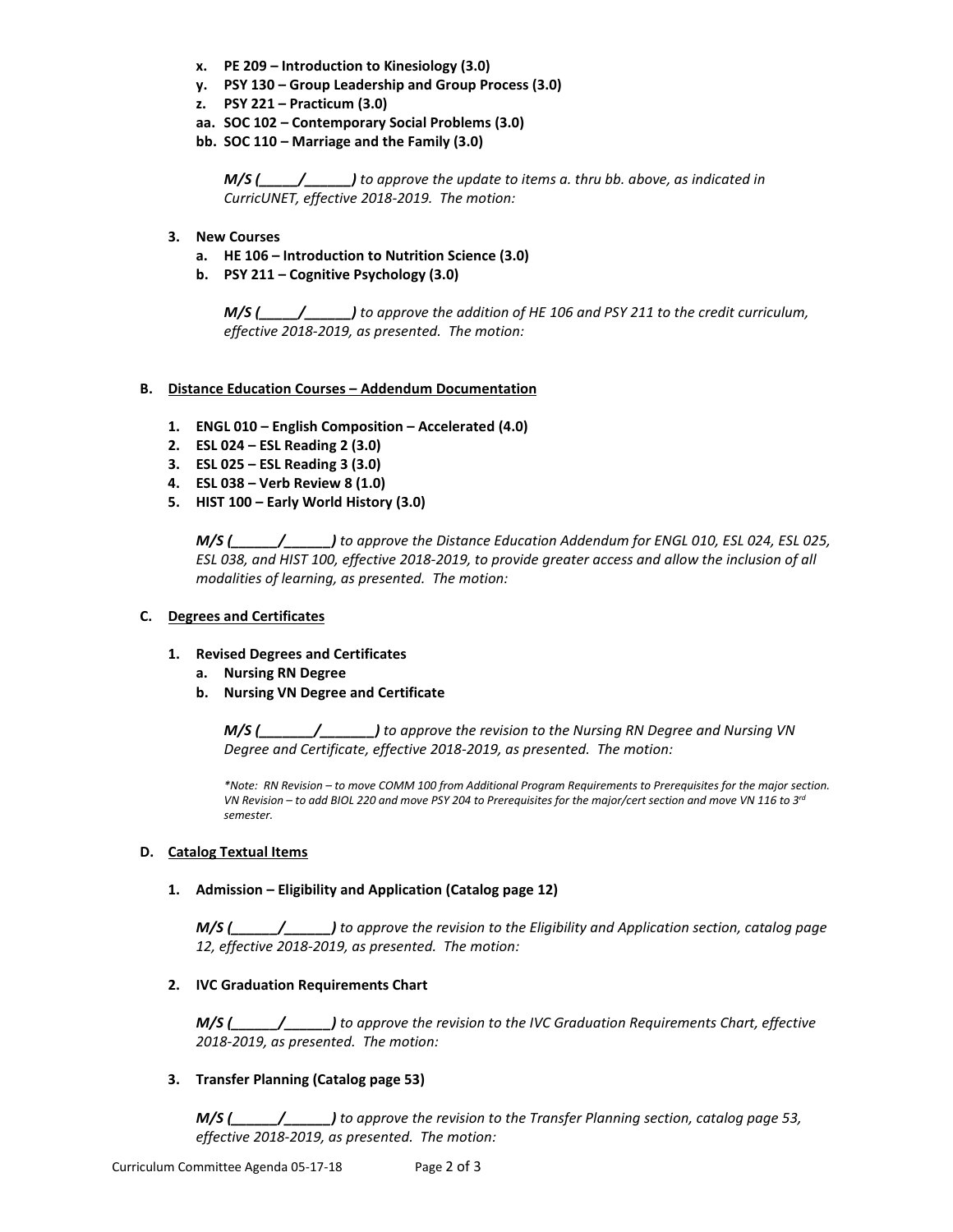- **x. PE 209 – Introduction to Kinesiology (3.0)**
- **y. PSY 130 – Group Leadership and Group Process (3.0)**
- **z. PSY 221 – Practicum (3.0)**
- **aa. SOC 102 – Contemporary Social Problems (3.0)**
- **bb. SOC 110 – Marriage and the Family (3.0)**

*M/S (\_\_\_\_\_/\_\_\_\_\_\_) to approve the update to items a. thru bb. above, as indicated in CurricUNET, effective 2018-2019. The motion:*

- **3. New Courses**
	- **a. HE 106 – Introduction to Nutrition Science (3.0)**
	- **b. PSY 211 – Cognitive Psychology (3.0)**

*M/S (\_\_\_\_\_/\_\_\_\_\_\_) to approve the addition of HE 106 and PSY 211 to the credit curriculum, effective 2018-2019, as presented. The motion:*

#### **B. Distance Education Courses – Addendum Documentation**

- **1. ENGL 010 – English Composition – Accelerated (4.0)**
- **2. ESL 024 – ESL Reading 2 (3.0)**
- **3. ESL 025 – ESL Reading 3 (3.0)**
- **4. ESL 038 – Verb Review 8 (1.0)**
- **5. HIST 100 – Early World History (3.0)**

*M/S (\_\_\_\_\_\_/\_\_\_\_\_\_) to approve the Distance Education Addendum for ENGL 010, ESL 024, ESL 025, ESL 038, and HIST 100, effective 2018-2019, to provide greater access and allow the inclusion of all modalities of learning, as presented. The motion:*

#### **C. Degrees and Certificates**

- **1. Revised Degrees and Certificates**
	- **a. Nursing RN Degree**
	- **b. Nursing VN Degree and Certificate**

*M/S (\_\_\_\_\_\_\_/\_\_\_\_\_\_\_) to approve the revision to the Nursing RN Degree and Nursing VN Degree and Certificate, effective 2018-2019, as presented. The motion:*

*\*Note: RN Revision – to move COMM 100 from Additional Program Requirements to Prerequisites for the major section. VN Revision – to add BIOL 220 and move PSY 204 to Prerequisites for the major/cert section and move VN 116 to 3rd semester.*

#### **D. Catalog Textual Items**

#### **1. Admission – Eligibility and Application (Catalog page 12)**

*M/S (\_\_\_\_\_\_/\_\_\_\_\_\_) to approve the revision to the Eligibility and Application section, catalog page 12, effective 2018-2019, as presented. The motion:*

## **2. IVC Graduation Requirements Chart**

*M/S (\_\_\_\_\_\_/\_\_\_\_\_\_) to approve the revision to the IVC Graduation Requirements Chart, effective 2018-2019, as presented. The motion:*

## **3. Transfer Planning (Catalog page 53)**

*M/S (\_\_\_\_\_\_/\_\_\_\_\_\_) to approve the revision to the Transfer Planning section, catalog page 53, effective 2018-2019, as presented. The motion:*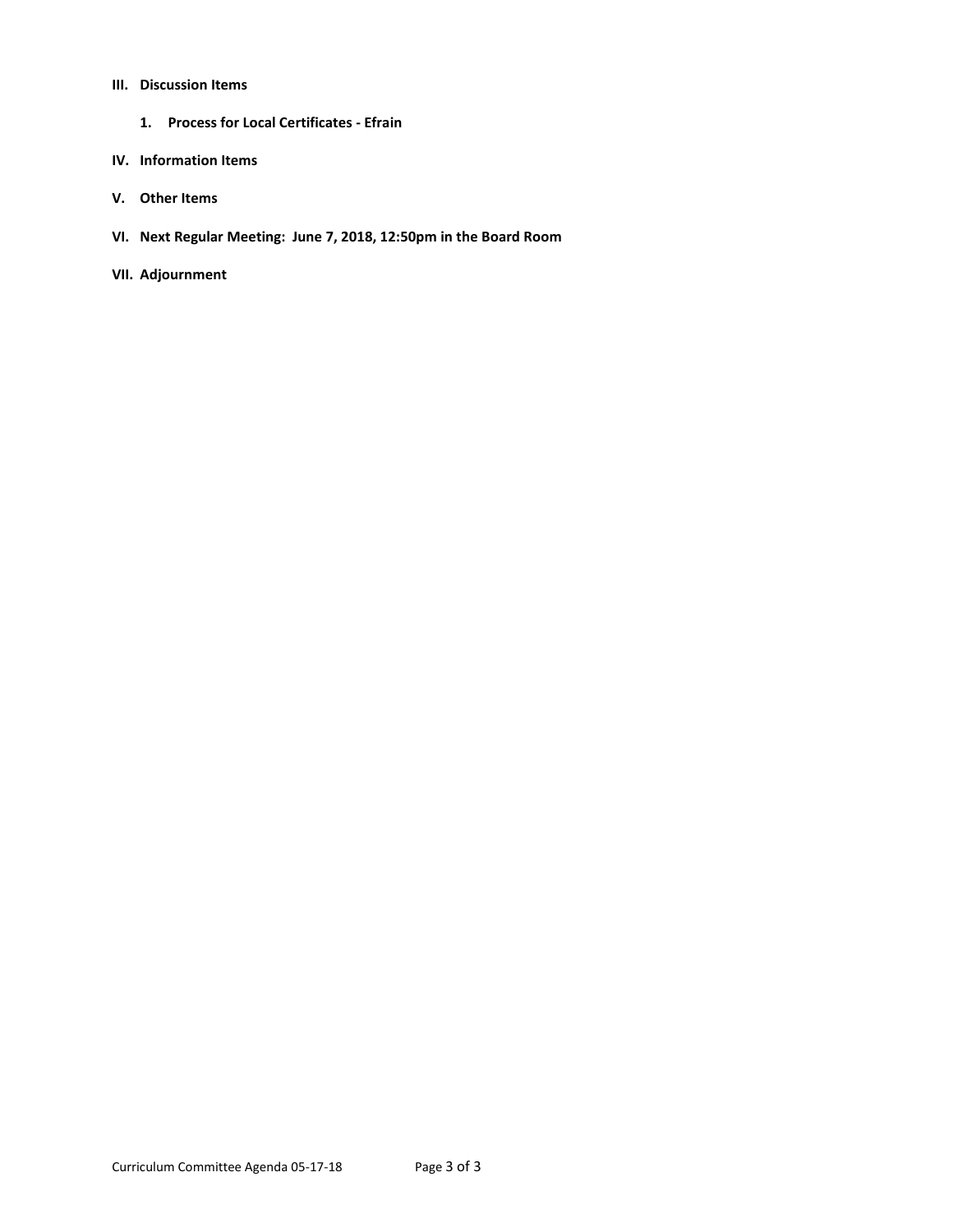### **III. Discussion Items**

**1. Process for Local Certificates - Efrain**

#### **IV. Information Items**

- **V. Other Items**
- **VI. Next Regular Meeting: June 7, 2018, 12:50pm in the Board Room**
- **VII. Adjournment**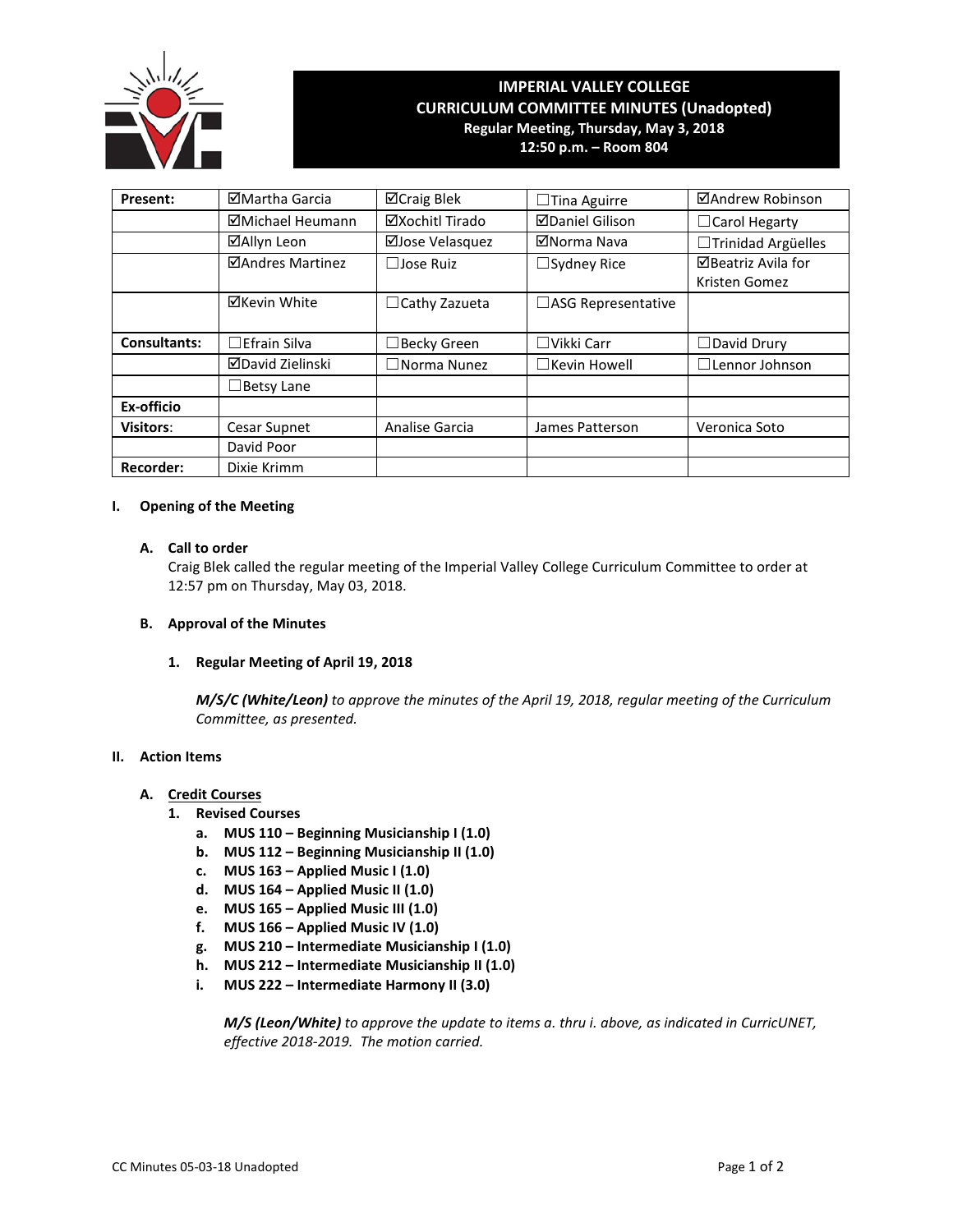

# **IMPERIAL VALLEY COLLEGE CURRICULUM COMMITTEE MINUTES (Unadopted) Regular Meeting, Thursday, May 3, 2018**

**12:50 p.m. – Room 804**

| Present:            | ⊠Martha Garcia      | <b>⊠Craig Blek</b>    | $\square$ Tina Aguirre | ⊠Andrew Robinson          |  |
|---------------------|---------------------|-----------------------|------------------------|---------------------------|--|
|                     | ⊠Michael Heumann    | ⊠Xochitl Tirado       | <b>ØDaniel Gilison</b> | $\Box$ Carol Hegarty      |  |
|                     | ⊠Allyn Leon         | ⊠Jose Velasquez       | ⊠Norma Nava            | $\Box$ Trinidad Argüelles |  |
|                     | ⊠Andres Martinez    | $\Box$ Jose Ruiz      | $\Box$ Sydney Rice     | ⊠Beatriz Avila for        |  |
|                     |                     |                       |                        | Kristen Gomez             |  |
|                     | <b>⊠Kevin White</b> | $\Box$ Cathy Zazueta  | □ASG Representative    |                           |  |
|                     |                     |                       |                        |                           |  |
| <b>Consultants:</b> | $\Box$ Efrain Silva | $\Box$ Becky Green    | $\Box$ Vikki Carr      | $\Box$ David Drury        |  |
|                     | ⊠David Zielinski    | $\square$ Norma Nunez | $\Box$ Kevin Howell    | $\square$ Lennor Johnson  |  |
|                     | $\Box$ Betsy Lane   |                       |                        |                           |  |
| Ex-officio          |                     |                       |                        |                           |  |
| <b>Visitors:</b>    | Cesar Supnet        | Analise Garcia        | James Patterson        | Veronica Soto             |  |
|                     | David Poor          |                       |                        |                           |  |
| <b>Recorder:</b>    | Dixie Krimm         |                       |                        |                           |  |

## **I. Opening of the Meeting**

## **A. Call to order**

Craig Blek called the regular meeting of the Imperial Valley College Curriculum Committee to order at 12:57 pm on Thursday, May 03, 2018.

#### **B. Approval of the Minutes**

#### **1. Regular Meeting of April 19, 2018**

*M/S/C (White/Leon) to approve the minutes of the April 19, 2018, regular meeting of the Curriculum Committee, as presented.* 

## **II. Action Items**

## **A. Credit Courses**

- **1. Revised Courses**
	- **a. MUS 110 – Beginning Musicianship I (1.0)**
	- **b. MUS 112 – Beginning Musicianship II (1.0)**
	- **c. MUS 163 – Applied Music I (1.0)**
	- **d. MUS 164 – Applied Music II (1.0)**
	- **e. MUS 165 – Applied Music III (1.0)**
	- **f. MUS 166 – Applied Music IV (1.0)**
	- **g. MUS 210 – Intermediate Musicianship I (1.0)**
	- **h. MUS 212 – Intermediate Musicianship II (1.0)**
	- **i. MUS 222 – Intermediate Harmony II (3.0)**

*M/S (Leon/White) to approve the update to items a. thru i. above, as indicated in CurricUNET, effective 2018-2019. The motion carried.*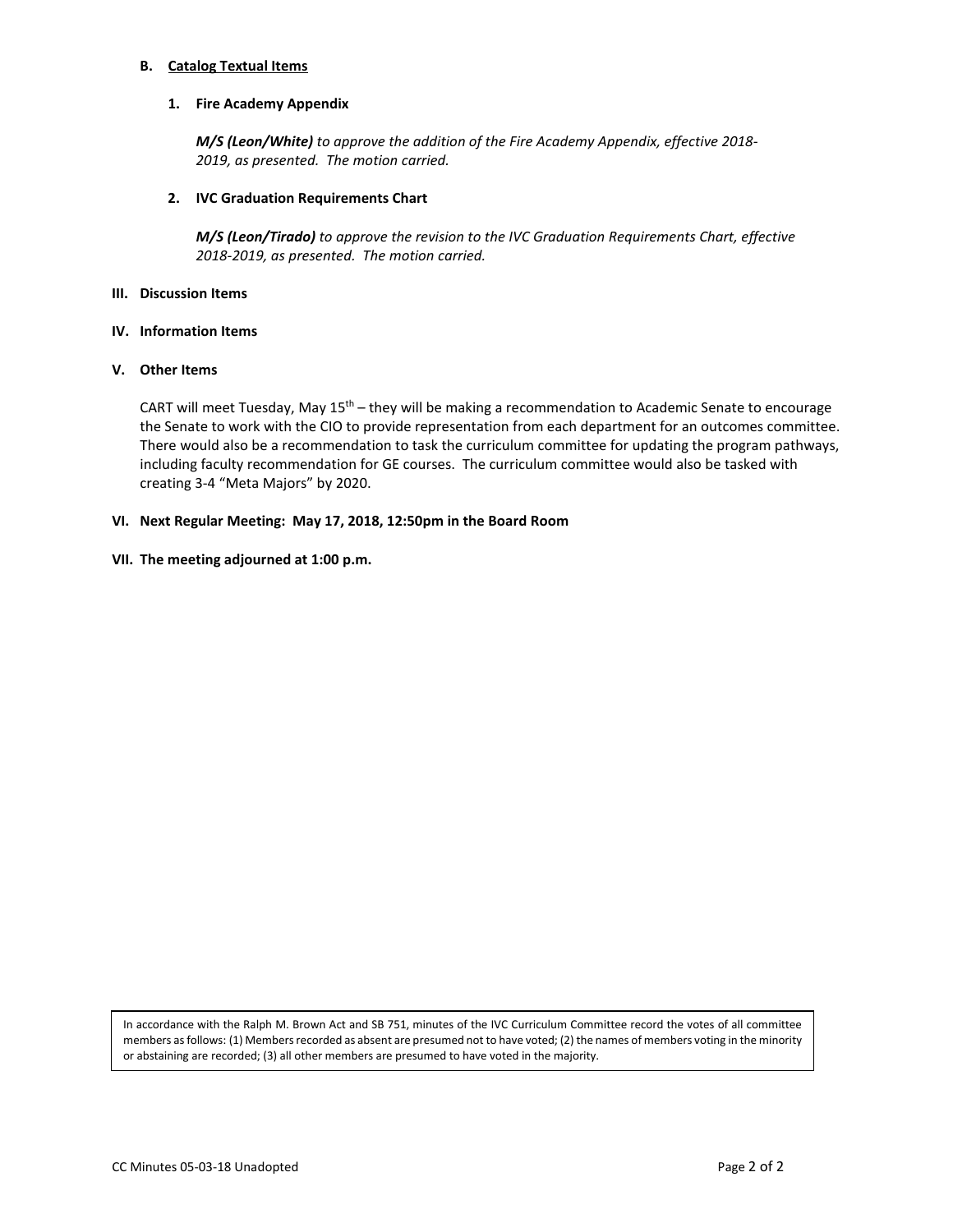#### **B. Catalog Textual Items**

#### **1. Fire Academy Appendix**

*M/S (Leon/White) to approve the addition of the Fire Academy Appendix, effective 2018- 2019, as presented. The motion carried.*

#### **2. IVC Graduation Requirements Chart**

*M/S (Leon/Tirado) to approve the revision to the IVC Graduation Requirements Chart, effective 2018-2019, as presented. The motion carried.*

#### **III. Discussion Items**

#### **IV. Information Items**

#### **V. Other Items**

CART will meet Tuesday, May 15th – they will be making a recommendation to Academic Senate to encourage the Senate to work with the CIO to provide representation from each department for an outcomes committee. There would also be a recommendation to task the curriculum committee for updating the program pathways, including faculty recommendation for GE courses. The curriculum committee would also be tasked with creating 3-4 "Meta Majors" by 2020.

#### **VI. Next Regular Meeting: May 17, 2018, 12:50pm in the Board Room**

#### **VII. The meeting adjourned at 1:00 p.m.**

In accordance with the Ralph M. Brown Act and SB 751, minutes of the IVC Curriculum Committee record the votes of all committee members as follows: (1) Members recorded as absent are presumed not to have voted; (2) the names of members voting in the minority or abstaining are recorded; (3) all other members are presumed to have voted in the majority.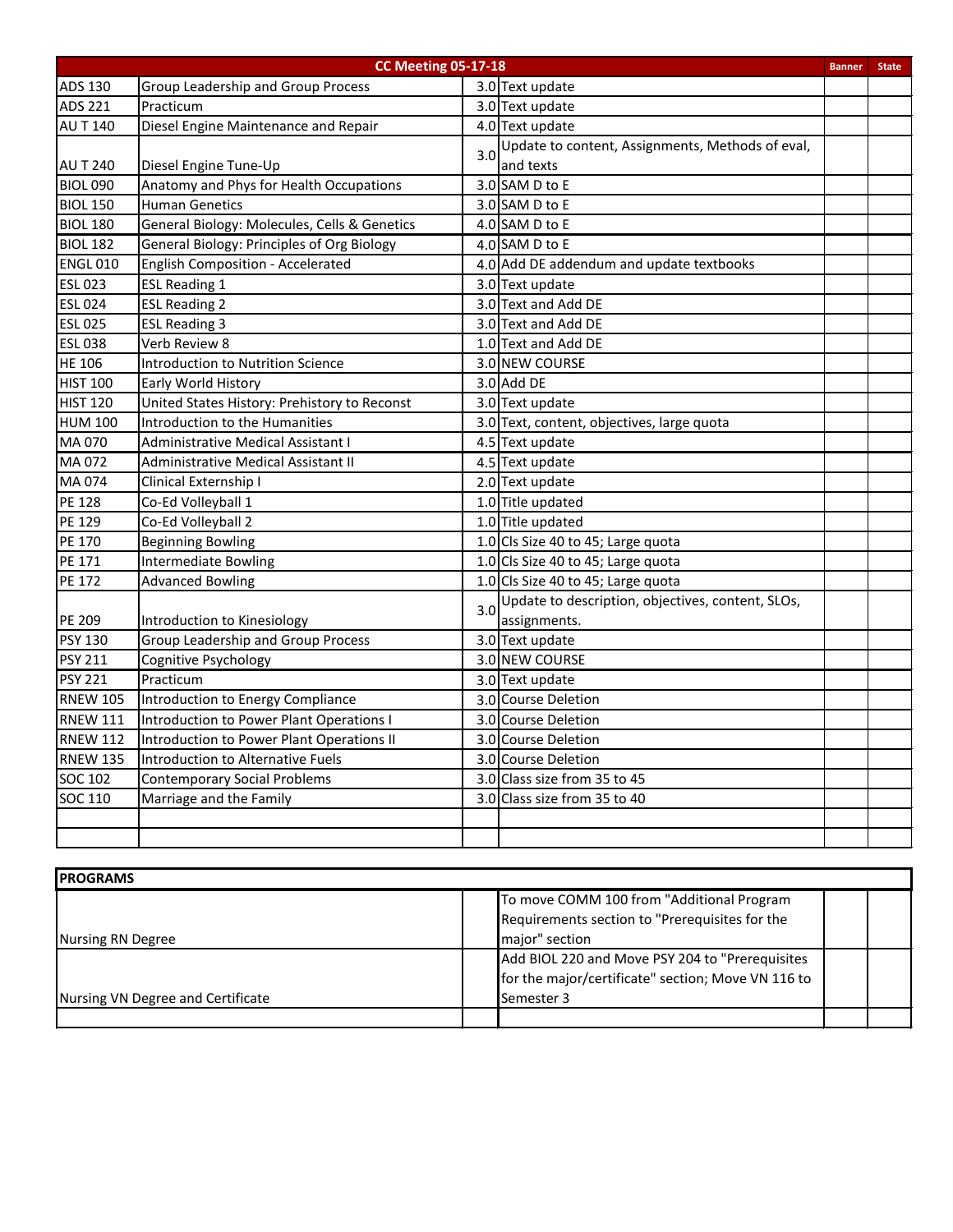|                 | <b>CC Meeting 05-17-18</b>                        |     | <b>Banner</b>                                     | <b>State</b> |  |
|-----------------|---------------------------------------------------|-----|---------------------------------------------------|--------------|--|
| <b>ADS 130</b>  | <b>Group Leadership and Group Process</b>         |     | 3.0 Text update                                   |              |  |
| <b>ADS 221</b>  | Practicum                                         |     | 3.0 Text update                                   |              |  |
| <b>AU T 140</b> | Diesel Engine Maintenance and Repair              |     | 4.0 Text update                                   |              |  |
|                 |                                                   |     | Update to content, Assignments, Methods of eval,  |              |  |
| <b>AUT 240</b>  | Diesel Engine Tune-Up                             | 3.0 | and texts                                         |              |  |
| <b>BIOL 090</b> | Anatomy and Phys for Health Occupations           |     | 3.0 SAM D to E                                    |              |  |
| <b>BIOL 150</b> | <b>Human Genetics</b>                             |     | 3.0 SAM D to E                                    |              |  |
| <b>BIOL 180</b> | General Biology: Molecules, Cells & Genetics      |     | 4.0 SAM D to E                                    |              |  |
| <b>BIOL 182</b> | <b>General Biology: Principles of Org Biology</b> |     | 4.0 SAM D to E                                    |              |  |
| <b>ENGL 010</b> | English Composition - Accelerated                 |     | 4.0 Add DE addendum and update textbooks          |              |  |
| <b>ESL 023</b>  | <b>ESL Reading 1</b>                              |     | 3.0 Text update                                   |              |  |
| <b>ESL 024</b>  | <b>ESL Reading 2</b>                              |     | 3.0 Text and Add DE                               |              |  |
| <b>ESL 025</b>  | <b>ESL Reading 3</b>                              |     | 3.0 Text and Add DE                               |              |  |
| <b>ESL 038</b>  | Verb Review 8                                     |     | 1.0 Text and Add DE                               |              |  |
| <b>HE 106</b>   | <b>Introduction to Nutrition Science</b>          |     | 3.0 NEW COURSE                                    |              |  |
| <b>HIST 100</b> | Early World History                               |     | $3.0$ Add DE                                      |              |  |
| <b>HIST 120</b> | United States History: Prehistory to Reconst      |     | 3.0 Text update                                   |              |  |
| <b>HUM 100</b>  | Introduction to the Humanities                    |     | 3.0 Text, content, objectives, large quota        |              |  |
| MA 070          | Administrative Medical Assistant I                |     | 4.5 Text update                                   |              |  |
| MA 072          | Administrative Medical Assistant II               |     | 4.5 Text update                                   |              |  |
| MA 074          | Clinical Externship I                             |     | 2.0 Text update                                   |              |  |
| PE 128          | Co-Ed Volleyball 1                                |     | 1.0 Title updated                                 |              |  |
| PE 129          | Co-Ed Volleyball 2                                |     | 1.0 Title updated                                 |              |  |
| PE 170          | <b>Beginning Bowling</b>                          |     | 1.0 Cls Size 40 to 45; Large quota                |              |  |
| PE 171          | <b>Intermediate Bowling</b>                       |     | 1.0 Cls Size 40 to 45; Large quota                |              |  |
| PE 172          | <b>Advanced Bowling</b>                           |     | 1.0 Cls Size 40 to 45; Large quota                |              |  |
|                 |                                                   | 3.0 | Update to description, objectives, content, SLOs, |              |  |
| PE 209          | Introduction to Kinesiology                       |     | assignments.                                      |              |  |
| <b>PSY 130</b>  | Group Leadership and Group Process                |     | 3.0 Text update                                   |              |  |
| <b>PSY 211</b>  | Cognitive Psychology                              |     | 3.0 NEW COURSE                                    |              |  |
| <b>PSY 221</b>  | Practicum                                         |     | 3.0 Text update                                   |              |  |
| <b>RNEW 105</b> | Introduction to Energy Compliance                 |     | 3.0 Course Deletion                               |              |  |
| <b>RNEW 111</b> | Introduction to Power Plant Operations I          |     | 3.0 Course Deletion                               |              |  |
| <b>RNEW 112</b> | Introduction to Power Plant Operations II         |     | 3.0 Course Deletion                               |              |  |
| <b>RNEW 135</b> | Introduction to Alternative Fuels                 |     | 3.0 Course Deletion                               |              |  |
| <b>SOC 102</b>  | <b>Contemporary Social Problems</b>               |     | 3.0 Class size from 35 to 45                      |              |  |
| SOC 110         | Marriage and the Family                           |     | 3.0 Class size from 35 to 40                      |              |  |
|                 |                                                   |     |                                                   |              |  |
|                 |                                                   |     |                                                   |              |  |

| <b>IPROGRAMS</b>                  |                                                    |  |  |  |  |  |  |  |
|-----------------------------------|----------------------------------------------------|--|--|--|--|--|--|--|
|                                   | To move COMM 100 from "Additional Program          |  |  |  |  |  |  |  |
|                                   | Requirements section to "Prerequisites for the     |  |  |  |  |  |  |  |
| Nursing RN Degree                 | major" section                                     |  |  |  |  |  |  |  |
|                                   | Add BIOL 220 and Move PSY 204 to "Prerequisites    |  |  |  |  |  |  |  |
|                                   | for the major/certificate" section; Move VN 116 to |  |  |  |  |  |  |  |
| Nursing VN Degree and Certificate | <b>I</b> Semester 3                                |  |  |  |  |  |  |  |
|                                   |                                                    |  |  |  |  |  |  |  |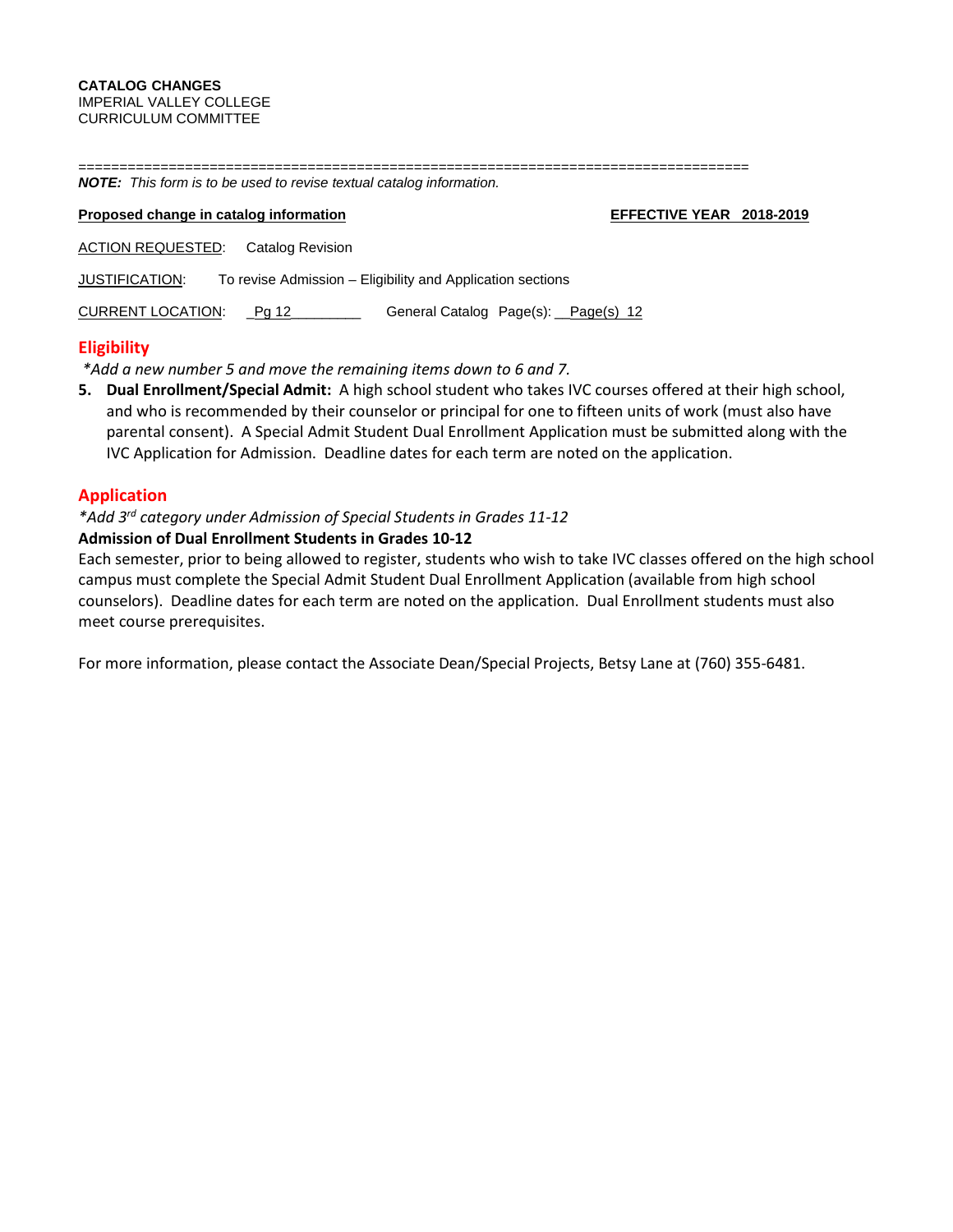==================================================================================

*NOTE: This form is to be used to revise textual catalog information.*  **Proposed change in catalog information EFFECTIVE YEAR** 2018-2019 ACTION REQUESTED: Catalog Revision JUSTIFICATION: To revise Admission – Eligibility and Application sections CURRENT LOCATION: Pg 12 Ceneral Catalog Page(s): Page(s) 12

## **Eligibility**

*\*Add a new number 5 and move the remaining items down to 6 and 7.*

**5. Dual Enrollment/Special Admit:** A high school student who takes IVC courses offered at their high school, and who is recommended by their counselor or principal for one to fifteen units of work (must also have parental consent). A Special Admit Student Dual Enrollment Application must be submitted along with the IVC Application for Admission. Deadline dates for each term are noted on the application.

## **Application**

# *\*Add 3rd category under Admission of Special Students in Grades 11-12*

## **Admission of Dual Enrollment Students in Grades 10-12**

Each semester, prior to being allowed to register, students who wish to take IVC classes offered on the high school campus must complete the Special Admit Student Dual Enrollment Application (available from high school counselors). Deadline dates for each term are noted on the application. Dual Enrollment students must also meet course prerequisites.

For more information, please contact the Associate Dean/Special Projects, Betsy Lane at (760) 355-6481.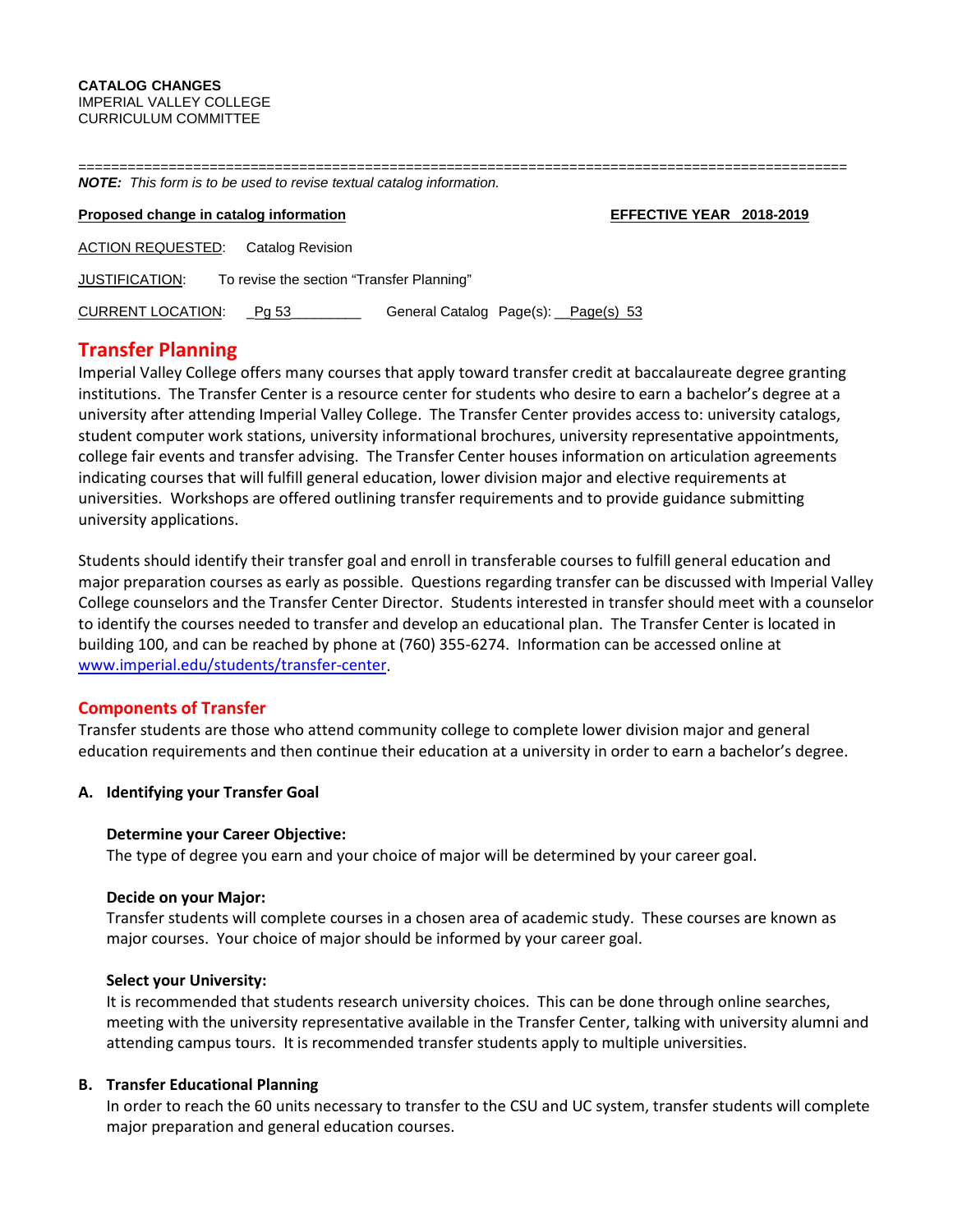| <b>NOTE:</b> This form is to be used to revise textual catalog information. |                                     |  |  |  |  |  |  |  |
|-----------------------------------------------------------------------------|-------------------------------------|--|--|--|--|--|--|--|
| Proposed change in catalog information                                      | EFFECTIVE YEAR 2018-2019            |  |  |  |  |  |  |  |
| <b>ACTION REQUESTED:</b><br>Catalog Revision                                |                                     |  |  |  |  |  |  |  |
| To revise the section "Transfer Planning"<br>JUSTIFICATION:                 |                                     |  |  |  |  |  |  |  |
| <b>CURRENT LOCATION:</b><br>Pa 53                                           | General Catalog Page(s): Page(s) 53 |  |  |  |  |  |  |  |
|                                                                             |                                     |  |  |  |  |  |  |  |

# **Transfer Planning**

Imperial Valley College offers many courses that apply toward transfer credit at baccalaureate degree granting institutions. The Transfer Center is a resource center for students who desire to earn a bachelor's degree at a university after attending Imperial Valley College. The Transfer Center provides access to: university catalogs, student computer work stations, university informational brochures, university representative appointments, college fair events and transfer advising. The Transfer Center houses information on articulation agreements indicating courses that will fulfill general education, lower division major and elective requirements at universities. Workshops are offered outlining transfer requirements and to provide guidance submitting university applications.

Students should identify their transfer goal and enroll in transferable courses to fulfill general education and major preparation courses as early as possible. Questions regarding transfer can be discussed with Imperial Valley College counselors and the Transfer Center Director. Students interested in transfer should meet with a counselor to identify the courses needed to transfer and develop an educational plan. The Transfer Center is located in building 100, and can be reached by phone at (760) 355-6274. Information can be accessed online at [www.imperial.edu/students/transfer-center.](http://www.imperial.edu/students/transfer-center)

## **Components of Transfer**

Transfer students are those who attend community college to complete lower division major and general education requirements and then continue their education at a university in order to earn a bachelor's degree.

## **A. Identifying your Transfer Goal**

## **Determine your Career Objective:**

The type of degree you earn and your choice of major will be determined by your career goal.

## **Decide on your Major:**

Transfer students will complete courses in a chosen area of academic study. These courses are known as major courses. Your choice of major should be informed by your career goal.

## **Select your University:**

It is recommended that students research university choices. This can be done through online searches, meeting with the university representative available in the Transfer Center, talking with university alumni and attending campus tours. It is recommended transfer students apply to multiple universities.

## **B. Transfer Educational Planning**

In order to reach the 60 units necessary to transfer to the CSU and UC system, transfer students will complete major preparation and general education courses.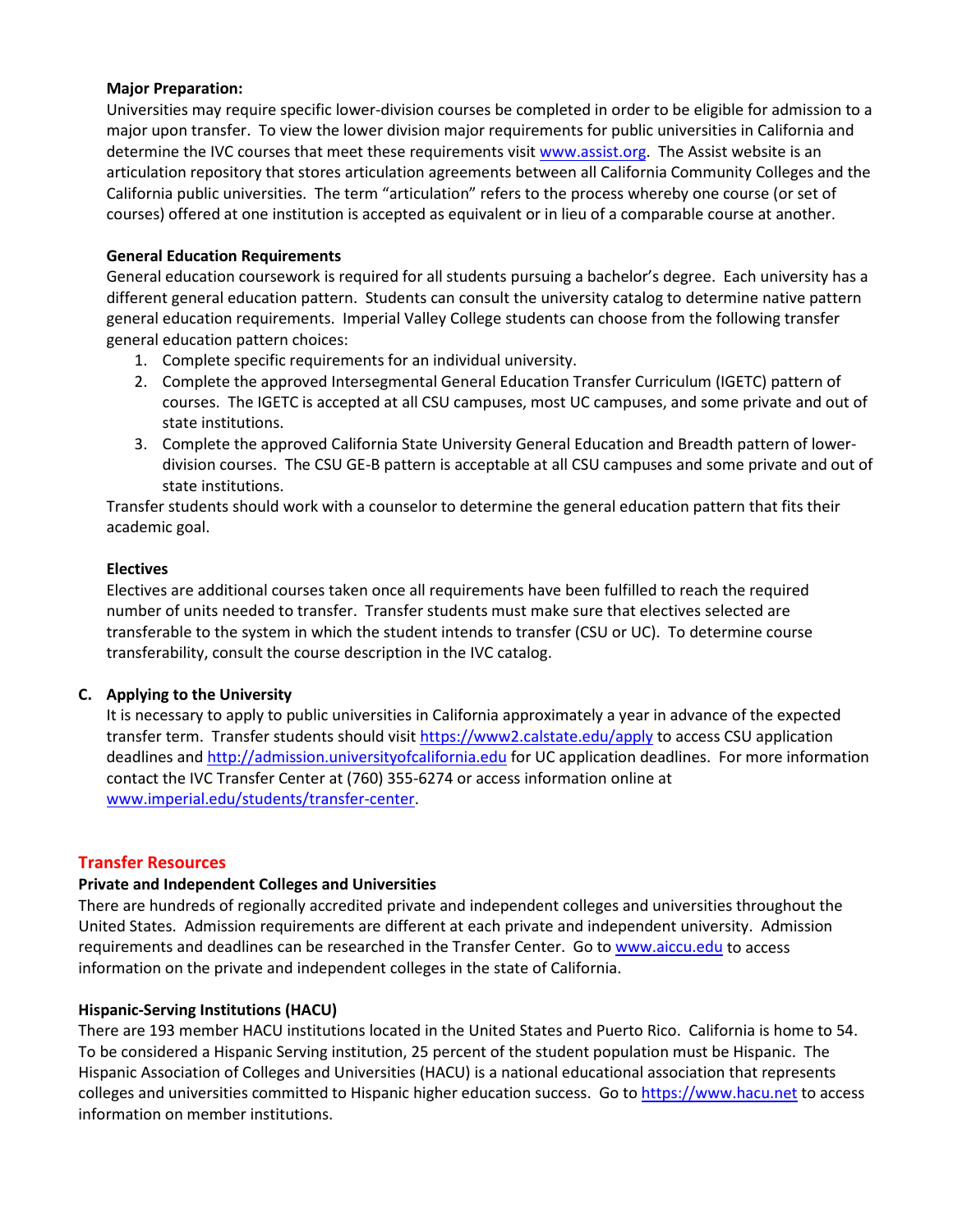## **Major Preparation:**

Universities may require specific lower-division courses be completed in order to be eligible for admission to a major upon transfer. To view the lower division major requirements for public universities in California and determine the IVC courses that meet these requirements visi[t www.assist.org.](http://www.assist.org/) The Assist website is an articulation repository that stores articulation agreements between all California Community Colleges and the California public universities. The term "articulation" refers to the process whereby one course (or set of courses) offered at one institution is accepted as equivalent or in lieu of a comparable course at another.

## **General Education Requirements**

General education coursework is required for all students pursuing a bachelor's degree. Each university has a different general education pattern. Students can consult the university catalog to determine native pattern general education requirements. Imperial Valley College students can choose from the following transfer general education pattern choices:

- 1. Complete specific requirements for an individual university.
- 2. Complete the approved Intersegmental General Education Transfer Curriculum (IGETC) pattern of courses. The IGETC is accepted at all CSU campuses, most UC campuses, and some private and out of state institutions.
- 3. Complete the approved California State University General Education and Breadth pattern of lowerdivision courses. The CSU GE-B pattern is acceptable at all CSU campuses and some private and out of state institutions.

Transfer students should work with a counselor to determine the general education pattern that fits their academic goal.

## **Electives**

Electives are additional courses taken once all requirements have been fulfilled to reach the required number of units needed to transfer. Transfer students must make sure that electives selected are transferable to the system in which the student intends to transfer (CSU or UC). To determine course transferability, consult the course description in the IVC catalog.

## **C. Applying to the University**

It is necessary to apply to public universities in California approximately a year in advance of the expected transfer term. Transfer students should visit<https://www2.calstate.edu/apply> to access CSU application deadlines and [http://admission.universityofcalifornia.edu](http://admission.universityofcalifornia.edu/) for UC application deadlines. For more information contact the IVC Transfer Center at (760) 355-6274 or access information online at [www.imperial.edu/students/transfer-center.](http://www.imperial.edu/students/transfer-center)

## **Transfer Resources**

## **Private and Independent Colleges and Universities**

There are hundreds of regionally accredited private and independent colleges and universities throughout the United States. Admission requirements are different at each private and independent university. Admission requirements and deadlines can be researched in the Transfer Center. Go t[o www.aiccu.edu](http://www.aiccu.edu/) to access information on the private and independent colleges in the state of California.

## **Hispanic-Serving Institutions (HACU)**

There are 193 member HACU institutions located in the United States and Puerto Rico. California is home to 54. To be considered a Hispanic Serving institution, 25 percent of the student population must be Hispanic. The Hispanic Association of Colleges and Universities (HACU) is a national educational association that represents colleges and universities committed to Hispanic higher education success. Go to [https://www.hacu.net](https://www.hacu.net/) to access information on member institutions.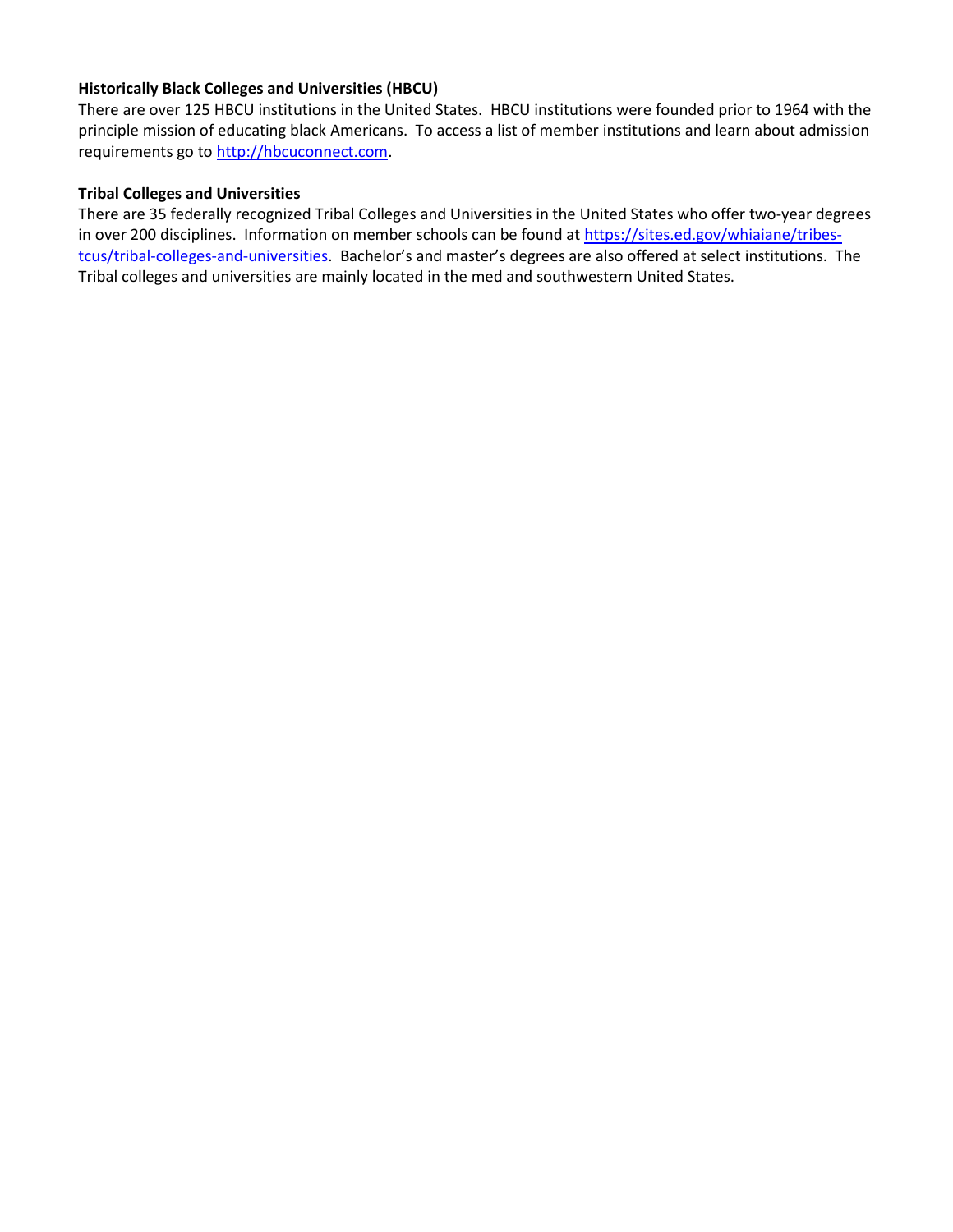## **Historically Black Colleges and Universities (HBCU)**

There are over 125 HBCU institutions in the United States. HBCU institutions were founded prior to 1964 with the principle mission of educating black Americans. To access a list of member institutions and learn about admission requirements go to [http://hbcuconnect.com.](http://hbcuconnect.com/)

## **Tribal Colleges and Universities**

There are 35 federally recognized Tribal Colleges and Universities in the United States who offer two-year degrees in over 200 disciplines. Information on member schools can be found at [https://sites.ed.gov/whiaiane/tribes](https://sites.ed.gov/whiaiane/tribes-tcus/tribal-colleges-and-universities)[tcus/tribal-colleges-and-universities.](https://sites.ed.gov/whiaiane/tribes-tcus/tribal-colleges-and-universities) Bachelor's and master's degrees are also offered at select institutions. The Tribal colleges and universities are mainly located in the med and southwestern United States.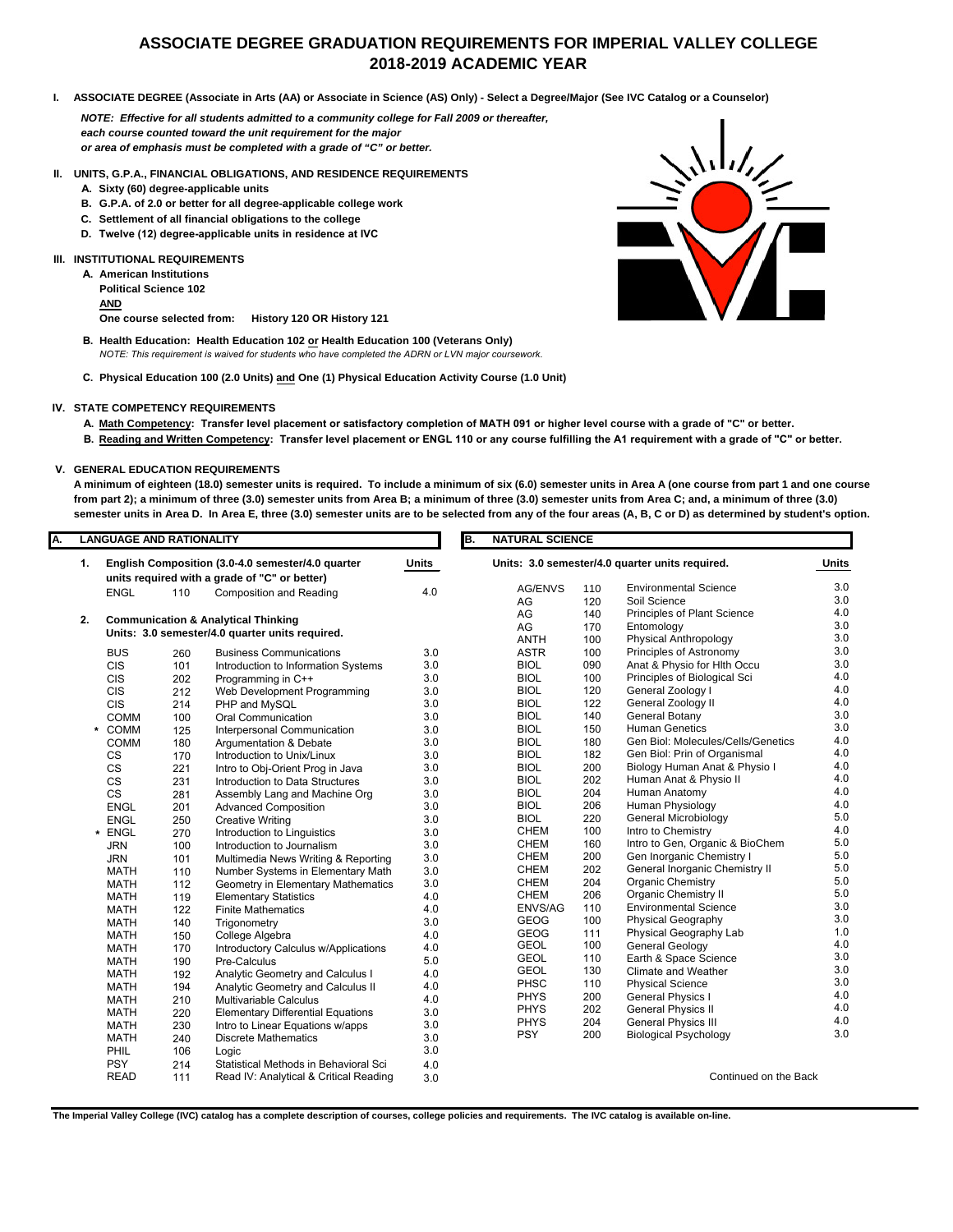# **ASSOCIATE DEGREE GRADUATION REQUIREMENTS FOR IMPERIAL VALLEY COLLEGE 2018-2019 ACADEMIC YEAR**

**I. ASSOCIATE DEGREE (Associate in Arts (AA) or Associate in Science (AS) Only) - Select a Degree/Major (See IVC Catalog or a Counselor)**

*NOTE: Effective for all students admitted to a community college for Fall 2009 or thereafter, each course counted toward the unit requirement for the major or area of emphasis must be completed with a grade of "C" or better.*

**II. UNITS, G.P.A., FINANCIAL OBLIGATIONS, AND RESIDENCE REQUIREMENTS**

- **A. Sixty (60) degree-applicable units**
- **B. G.P.A. of 2.0 or better for all degree-applicable college work**
- **C. Settlement of all financial obligations to the college**
- **D. Twelve (12) degree-applicable units in residence at IVC**

#### **III. INSTITUTIONAL REQUIREMENTS**

**A. American Institutions Political Science 102 AND One course selected from: History 120 OR History 121**

- **B. Health Education: Health Education 102 or Health Education 100 (Veterans Only)** *NOTE: This requirement is waived for students who have completed the ADRN or LVN major coursework.*
- **C. Physical Education 100 (2.0 Units) and One (1) Physical Education Activity Course (1.0 Unit)**

#### **IV. STATE COMPETENCY REQUIREMENTS**

- **A. Math Competency: Transfer level placement or satisfactory completion of MATH 091 or higher level course with a grade of "C" or better.**
- **B. Reading and Written Competency: Transfer level placement or ENGL 110 or any course fulfilling the A1 requirement with a grade of "C" or better.**

#### **V. GENERAL EDUCATION REQUIREMENTS**

**A minimum of eighteen (18.0) semester units is required. To include a minimum of six (6.0) semester units in Area A (one course from part 1 and one course from part 2); a minimum of three (3.0) semester units from Area B; a minimum of three (3.0) semester units from Area C; and, a minimum of three (3.0) semester units in Area D. In Area E, three (3.0) semester units are to be selected from any of the four areas (A, B, C or D) as determined by student's option.** 

| А. | <b>LANGUAGE AND RATIONALITY</b> |                                                   |     |                                                |              |             | <b>NATURAL SCIENCE</b><br>B.                    |                       |                                    |            |  |  |
|----|---------------------------------|---------------------------------------------------|-----|------------------------------------------------|--------------|-------------|-------------------------------------------------|-----------------------|------------------------------------|------------|--|--|
|    | 1.                              | English Composition (3.0-4.0 semester/4.0 quarter |     |                                                | <b>Units</b> |             | Units: 3.0 semester/4.0 quarter units required. |                       |                                    |            |  |  |
|    |                                 |                                                   |     | units required with a grade of "C" or better)  |              |             | AG/ENVS                                         | 110                   | <b>Environmental Science</b>       | 3.0        |  |  |
|    |                                 | <b>ENGL</b>                                       | 110 | <b>Composition and Reading</b>                 | 4.0          |             | AG                                              | 120                   | Soil Science                       | 3.0        |  |  |
|    |                                 |                                                   |     |                                                |              |             | AG                                              | 140                   | Principles of Plant Science        | 4.0        |  |  |
|    | 2.                              |                                                   |     | <b>Communication &amp; Analytical Thinking</b> |              |             | AG                                              | 170                   | Entomology                         | 3.0        |  |  |
|    |                                 | Units: 3.0 semester/4.0 quarter units required.   |     |                                                |              | <b>ANTH</b> | 100                                             | Physical Anthropology | 3.0                                |            |  |  |
|    |                                 | <b>BUS</b>                                        | 260 | <b>Business Communications</b>                 | 3.0          |             | <b>ASTR</b>                                     | 100                   | Principles of Astronomy            | 3.0        |  |  |
|    |                                 | <b>CIS</b>                                        | 101 | Introduction to Information Systems            | 3.0          |             | <b>BIOL</b>                                     | 090                   | Anat & Physio for Hlth Occu        | 3.0        |  |  |
|    |                                 | <b>CIS</b>                                        | 202 | Programming in C++                             | 3.0          |             | <b>BIOL</b>                                     | 100                   | Principles of Biological Sci       | 4.0        |  |  |
|    |                                 | <b>CIS</b>                                        | 212 | Web Development Programming                    | 3.0          |             | <b>BIOL</b>                                     | 120                   | General Zoology I                  | 4.0        |  |  |
|    |                                 | <b>CIS</b>                                        | 214 | PHP and MySQL                                  | 3.0          |             | <b>BIOL</b>                                     | 122                   | General Zoology II                 | 4.0        |  |  |
|    |                                 | COMM                                              | 100 | Oral Communication                             | 3.0          |             | <b>BIOL</b>                                     | 140                   | General Botany                     | 3.0        |  |  |
|    |                                 | * COMM                                            | 125 | Interpersonal Communication                    | 3.0          |             | <b>BIOL</b>                                     | 150                   | <b>Human Genetics</b>              | 3.0        |  |  |
|    |                                 | <b>COMM</b>                                       | 180 | Argumentation & Debate                         | 3.0          |             | <b>BIOL</b>                                     | 180                   | Gen Biol: Molecules/Cells/Genetics | 4.0        |  |  |
|    |                                 | <b>CS</b>                                         | 170 | Introduction to Unix/Linux                     | 3.0          |             | <b>BIOL</b>                                     | 182                   | Gen Biol: Prin of Organismal       | 4.0        |  |  |
|    |                                 | CS                                                | 221 | Intro to Obj-Orient Prog in Java               | 3.0          |             | <b>BIOL</b>                                     | 200                   | Biology Human Anat & Physio I      | 4.0        |  |  |
|    |                                 | CS                                                | 231 | Introduction to Data Structures                | 3.0          |             | <b>BIOL</b>                                     | 202                   | Human Anat & Physio II             | 4.0        |  |  |
|    |                                 | $\mathsf{CS}\phantom{0}$                          | 281 | Assembly Lang and Machine Org                  | 3.0          |             | <b>BIOL</b>                                     | 204                   | Human Anatomy                      | 4.0        |  |  |
|    |                                 | <b>ENGL</b>                                       | 201 | <b>Advanced Composition</b>                    | 3.0          |             | <b>BIOL</b>                                     | 206                   | Human Physiology                   | 4.0        |  |  |
|    |                                 | <b>ENGL</b>                                       | 250 | <b>Creative Writing</b>                        | 3.0          |             | <b>BIOL</b>                                     | 220                   | <b>General Microbiology</b>        | 5.0        |  |  |
|    | $\star$                         | <b>ENGL</b>                                       | 270 | Introduction to Linguistics                    | 3.0          |             | <b>CHEM</b>                                     | 100                   | Intro to Chemistry                 | 4.0        |  |  |
|    |                                 | <b>JRN</b>                                        | 100 | Introduction to Journalism                     | 3.0          |             | <b>CHEM</b>                                     | 160                   | Intro to Gen, Organic & BioChem    | 5.0        |  |  |
|    |                                 | <b>JRN</b>                                        | 101 | Multimedia News Writing & Reporting            | 3.0          |             | <b>CHEM</b>                                     | 200                   | Gen Inorganic Chemistry I          | 5.0        |  |  |
|    |                                 | <b>MATH</b>                                       | 110 | Number Systems in Elementary Math              | 3.0          |             | <b>CHEM</b>                                     | 202                   | General Inorganic Chemistry II     | 5.0        |  |  |
|    |                                 | <b>MATH</b>                                       | 112 | Geometry in Elementary Mathematics             | 3.0          |             | <b>CHEM</b>                                     | 204                   | Organic Chemistry                  | 5.0        |  |  |
|    |                                 | <b>MATH</b>                                       | 119 | <b>Elementary Statistics</b>                   | 4.0          |             | <b>CHEM</b>                                     | 206                   | Organic Chemistry II               | 5.0        |  |  |
|    |                                 | <b>MATH</b>                                       | 122 | <b>Finite Mathematics</b>                      | 4.0          |             | ENVS/AG                                         | 110                   | <b>Environmental Science</b>       | 3.0        |  |  |
|    |                                 | <b>MATH</b>                                       | 140 | Trigonometry                                   | 3.0          |             | <b>GEOG</b>                                     | 100                   | <b>Physical Geography</b>          | 3.0        |  |  |
|    |                                 | <b>MATH</b>                                       | 150 | College Algebra                                | 4.0          |             | <b>GEOG</b>                                     | 111                   | Physical Geography Lab             | 1.0        |  |  |
|    |                                 | <b>MATH</b>                                       | 170 | Introductory Calculus w/Applications           | 4.0          |             | <b>GEOL</b>                                     | 100                   | <b>General Geology</b>             | 4.0        |  |  |
|    |                                 | <b>MATH</b>                                       | 190 | Pre-Calculus                                   | 5.0          |             | <b>GEOL</b>                                     | 110                   | Earth & Space Science              | $3.0\,$    |  |  |
|    |                                 | <b>MATH</b>                                       | 192 | Analytic Geometry and Calculus I               | 4.0          |             | <b>GEOL</b>                                     | 130                   | Climate and Weather                | 3.0<br>3.0 |  |  |
|    |                                 | <b>MATH</b>                                       | 194 | Analytic Geometry and Calculus II              | 4.0          |             | PHSC                                            | 110                   | <b>Physical Science</b>            |            |  |  |
|    |                                 | <b>MATH</b>                                       | 210 | <b>Multivariable Calculus</b>                  | 4.0          |             | <b>PHYS</b>                                     | 200                   | <b>General Physics I</b>           | 4.0<br>4.0 |  |  |
|    |                                 | <b>MATH</b>                                       | 220 | <b>Elementary Differential Equations</b>       | 3.0          |             | <b>PHYS</b>                                     | 202                   | <b>General Physics II</b>          | 4.0        |  |  |
|    |                                 | <b>MATH</b>                                       | 230 | Intro to Linear Equations w/apps               | 3.0          |             | <b>PHYS</b>                                     | 204                   | <b>General Physics III</b>         | 3.0        |  |  |
|    |                                 | <b>MATH</b>                                       | 240 | <b>Discrete Mathematics</b>                    | 3.0          |             | <b>PSY</b>                                      | 200                   | <b>Biological Psychology</b>       |            |  |  |
|    |                                 | PHIL                                              | 106 | Logic                                          | 3.0          |             |                                                 |                       |                                    |            |  |  |
|    |                                 | <b>PSY</b>                                        | 214 | Statistical Methods in Behavioral Sci          | 4.0          |             |                                                 |                       |                                    |            |  |  |
|    |                                 | <b>READ</b>                                       | 111 | Read IV: Analytical & Critical Reading         | 3.0          |             |                                                 |                       | Continued on the Back              |            |  |  |



**The Imperial Valley College (IVC) catalog has a complete description of courses, college policies and requirements. The IVC catalog is available on-line.**